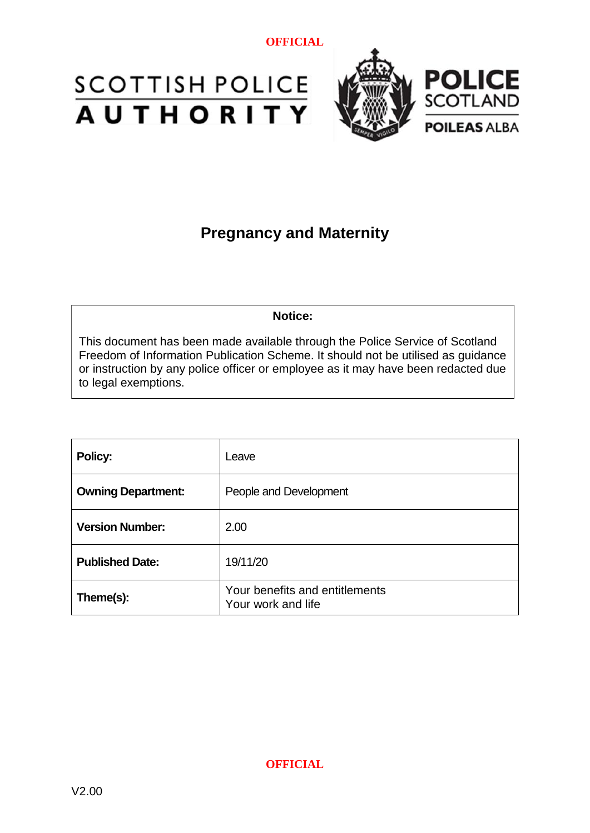



## **Pregnancy and Maternity**

**Notice:**

This document has been made available through the Police Service of Scotland Freedom of Information Publication Scheme. It should not be utilised as guidance or instruction by any police officer or employee as it may have been redacted due to legal exemptions.

| Policy:                   | Leave                                                |  |
|---------------------------|------------------------------------------------------|--|
| <b>Owning Department:</b> | People and Development                               |  |
| <b>Version Number:</b>    | 2.00                                                 |  |
| <b>Published Date:</b>    | 19/11/20                                             |  |
| Theme(s):                 | Your benefits and entitlements<br>Your work and life |  |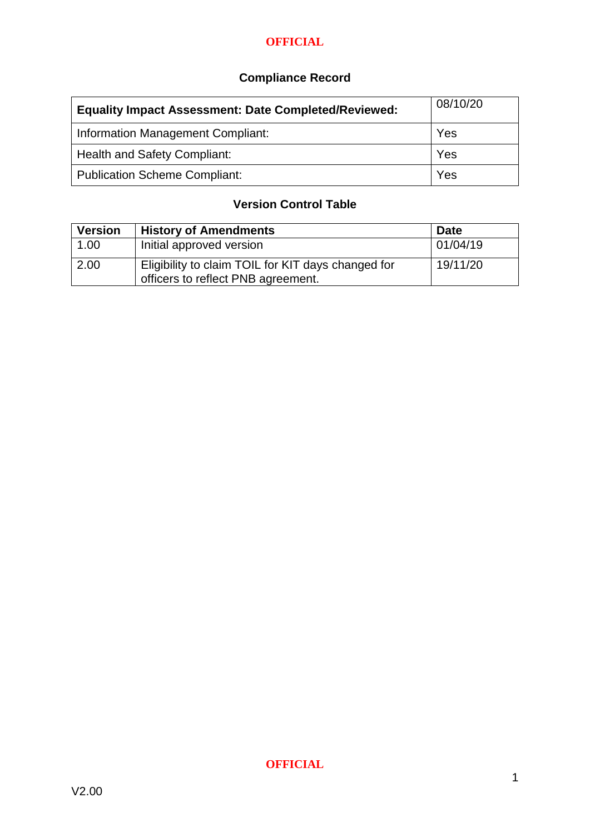### **Compliance Record**

| <b>Equality Impact Assessment: Date Completed/Reviewed:</b> | 08/10/20 |
|-------------------------------------------------------------|----------|
| <b>Information Management Compliant:</b>                    | Yes      |
| <b>Health and Safety Compliant:</b>                         | Yes      |
| <b>Publication Scheme Compliant:</b>                        | Yes      |

### **Version Control Table**

| <b>Version</b> | <b>History of Amendments</b>                                                             | <b>Date</b> |
|----------------|------------------------------------------------------------------------------------------|-------------|
| 1.00           | Initial approved version                                                                 | 01/04/19    |
| 2.00           | Eligibility to claim TOIL for KIT days changed for<br>officers to reflect PNB agreement. | 19/11/20    |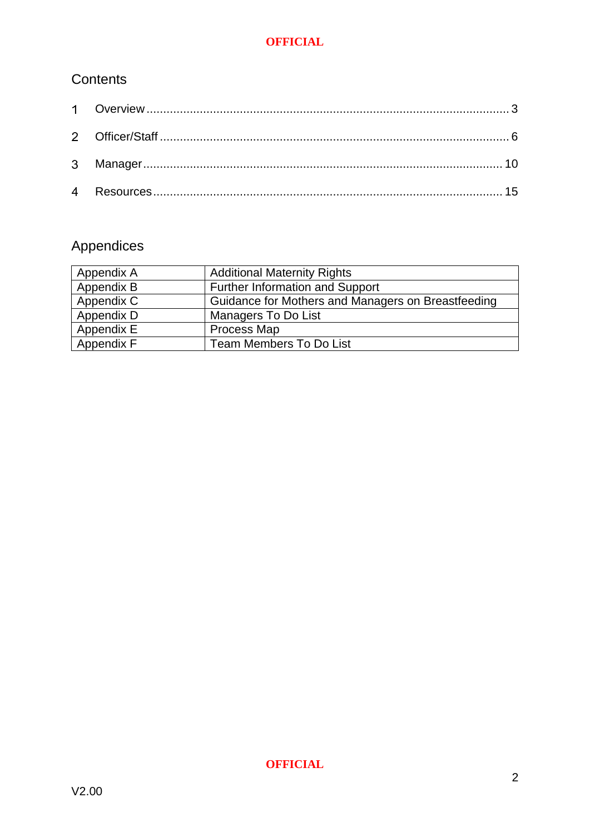### **Contents**

## Appendices

| Appendix A | <b>Additional Maternity Rights</b>                 |
|------------|----------------------------------------------------|
| Appendix B | Further Information and Support                    |
| Appendix C | Guidance for Mothers and Managers on Breastfeeding |
| Appendix D | <b>Managers To Do List</b>                         |
| Appendix E | Process Map                                        |
| Appendix F | <b>Team Members To Do List</b>                     |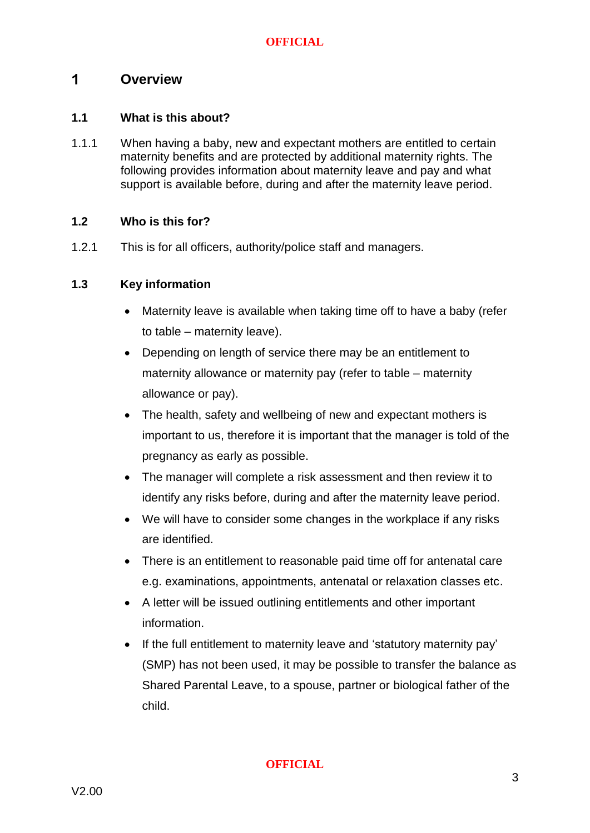#### <span id="page-3-0"></span> $\mathbf 1$ **Overview**

#### **1.1 What is this about?**

1.1.1 When having a baby, new and expectant mothers are entitled to certain maternity benefits and are protected by additional maternity rights. The following provides information about maternity leave and pay and what support is available before, during and after the maternity leave period.

#### **1.2 Who is this for?**

1.2.1 This is for all officers, authority/police staff and managers.

#### **1.3 Key information**

- Maternity leave is available when taking time off to have a baby (refer to table – maternity leave).
- Depending on length of service there may be an entitlement to maternity allowance or maternity pay (refer to table – maternity allowance or pay).
- The health, safety and wellbeing of new and expectant mothers is important to us, therefore it is important that the manager is told of the pregnancy as early as possible.
- The manager will complete a risk assessment and then review it to identify any risks before, during and after the maternity leave period.
- We will have to consider some changes in the workplace if any risks are identified.
- There is an entitlement to reasonable paid time off for antenatal care e.g. examinations, appointments, antenatal or relaxation classes etc.
- A letter will be issued outlining entitlements and other important information.
- If the full entitlement to maternity leave and 'statutory maternity pay' (SMP) has not been used, it may be possible to transfer the balance as Shared Parental Leave, to a spouse, partner or biological father of the child.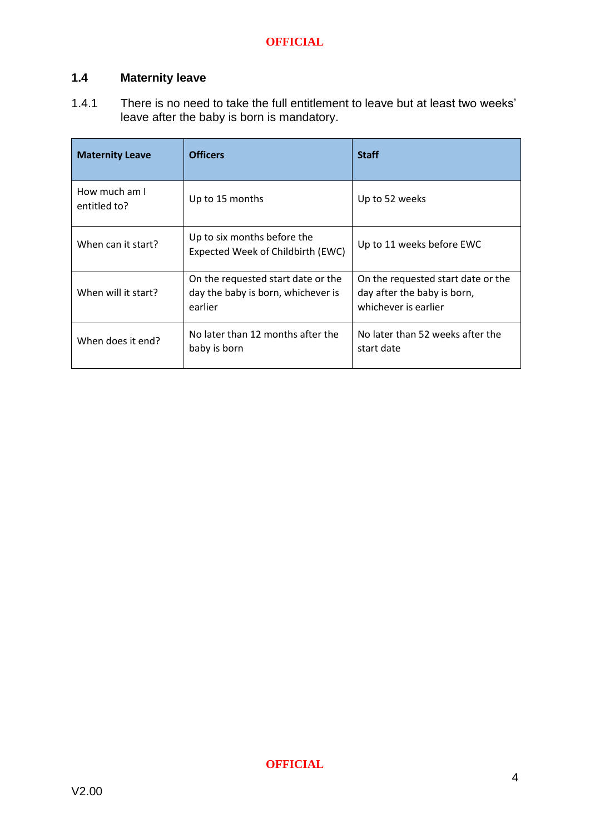### **1.4 Maternity leave**

1.4.1 There is no need to take the full entitlement to leave but at least two weeks' leave after the baby is born is mandatory.

| <b>Maternity Leave</b>                                                 | <b>Officers</b>                                                                     | <b>Staff</b>                                                                              |
|------------------------------------------------------------------------|-------------------------------------------------------------------------------------|-------------------------------------------------------------------------------------------|
| How much am I<br>entitled to?                                          | Up to 15 months                                                                     | Up to 52 weeks                                                                            |
| When can it start?                                                     | Up to six months before the<br>Expected Week of Childbirth (EWC)                    | Up to 11 weeks before EWC                                                                 |
| When will it start?                                                    | On the requested start date or the<br>day the baby is born, whichever is<br>earlier | On the requested start date or the<br>day after the baby is born,<br>whichever is earlier |
| No later than 12 months after the<br>When does it end?<br>baby is born |                                                                                     | No later than 52 weeks after the<br>start date                                            |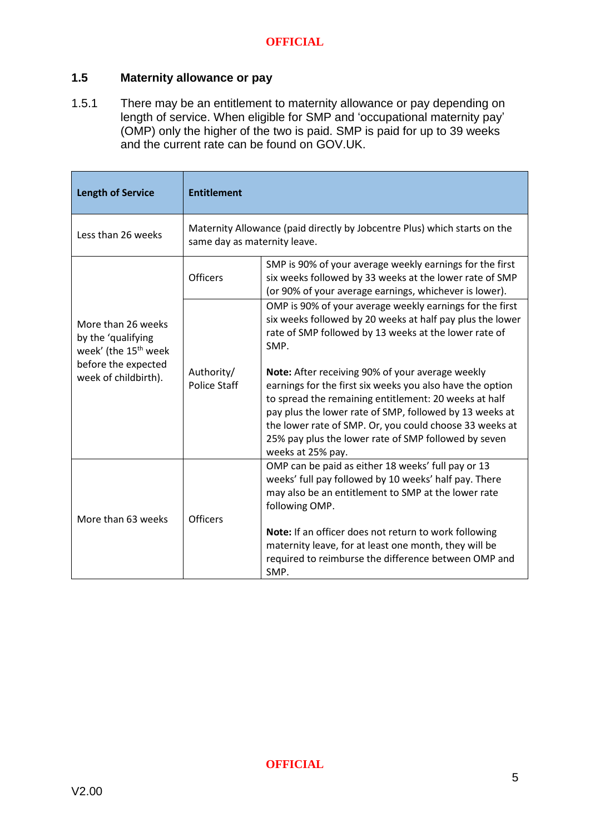#### **1.5 Maternity allowance or pay**

1.5.1 There may be an entitlement to maternity allowance or pay depending on length of service. When eligible for SMP and 'occupational maternity pay' (OMP) only the higher of the two is paid. SMP is paid for up to 39 weeks and the current rate can be found on GOV.UK.

| <b>Length of Service</b>                                                                                                    | <b>Entitlement</b>                                                                                        |                                                                                                                                                                                                                                                                                                                                                                           |
|-----------------------------------------------------------------------------------------------------------------------------|-----------------------------------------------------------------------------------------------------------|---------------------------------------------------------------------------------------------------------------------------------------------------------------------------------------------------------------------------------------------------------------------------------------------------------------------------------------------------------------------------|
| Less than 26 weeks                                                                                                          | Maternity Allowance (paid directly by Jobcentre Plus) which starts on the<br>same day as maternity leave. |                                                                                                                                                                                                                                                                                                                                                                           |
| More than 26 weeks<br>by the 'qualifying<br>week' (the 15 <sup>th</sup> week<br>before the expected<br>week of childbirth). | <b>Officers</b>                                                                                           | SMP is 90% of your average weekly earnings for the first<br>six weeks followed by 33 weeks at the lower rate of SMP<br>(or 90% of your average earnings, whichever is lower).                                                                                                                                                                                             |
|                                                                                                                             | Authority/<br><b>Police Staff</b>                                                                         | OMP is 90% of your average weekly earnings for the first<br>six weeks followed by 20 weeks at half pay plus the lower<br>rate of SMP followed by 13 weeks at the lower rate of<br>SMP.                                                                                                                                                                                    |
|                                                                                                                             |                                                                                                           | Note: After receiving 90% of your average weekly<br>earnings for the first six weeks you also have the option<br>to spread the remaining entitlement: 20 weeks at half<br>pay plus the lower rate of SMP, followed by 13 weeks at<br>the lower rate of SMP. Or, you could choose 33 weeks at<br>25% pay plus the lower rate of SMP followed by seven<br>weeks at 25% pay. |
| More than 63 weeks                                                                                                          | Officers                                                                                                  | OMP can be paid as either 18 weeks' full pay or 13<br>weeks' full pay followed by 10 weeks' half pay. There<br>may also be an entitlement to SMP at the lower rate<br>following OMP.<br>Note: If an officer does not return to work following<br>maternity leave, for at least one month, they will be                                                                    |
|                                                                                                                             |                                                                                                           | required to reimburse the difference between OMP and<br>SMP.                                                                                                                                                                                                                                                                                                              |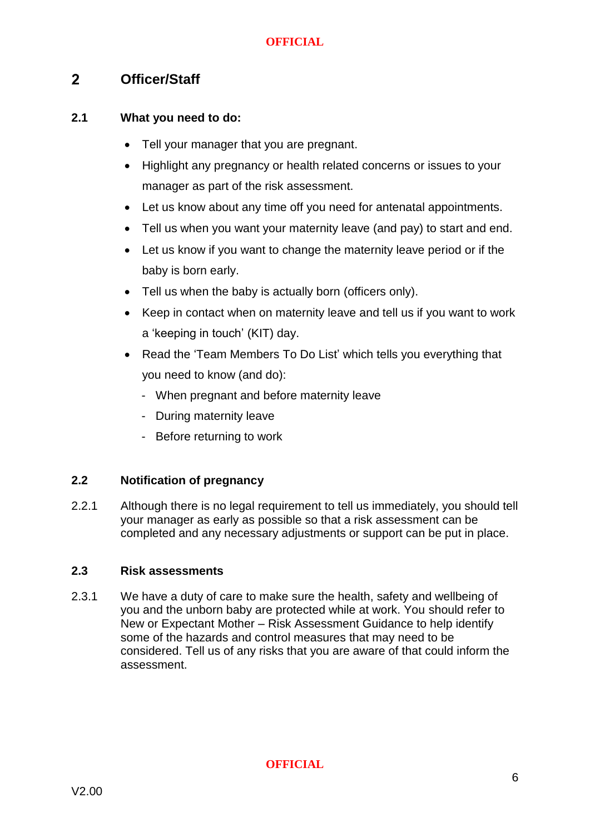#### <span id="page-6-0"></span> $2<sup>1</sup>$ **Officer/Staff**

#### **2.1 What you need to do:**

- Tell your manager that you are pregnant.
- Highlight any pregnancy or health related concerns or issues to your manager as part of the risk assessment.
- Let us know about any time off you need for antenatal appointments.
- Tell us when you want your maternity leave (and pay) to start and end.
- Let us know if you want to change the maternity leave period or if the baby is born early.
- Tell us when the baby is actually born (officers only).
- Keep in contact when on maternity leave and tell us if you want to work a 'keeping in touch' (KIT) day.
- Read the 'Team Members To Do List' which tells you everything that you need to know (and do):
	- When pregnant and before maternity leave
	- During maternity leave
	- Before returning to work

#### **2.2 Notification of pregnancy**

2.2.1 Although there is no legal requirement to tell us immediately, you should tell your manager as early as possible so that a risk assessment can be completed and any necessary adjustments or support can be put in place.

#### **2.3 Risk assessments**

2.3.1 We have a duty of care to make sure the health, safety and wellbeing of you and the unborn baby are protected while at work. You should refer to New or Expectant Mother – Risk Assessment Guidance to help identify some of the hazards and control measures that may need to be considered. Tell us of any risks that you are aware of that could inform the assessment.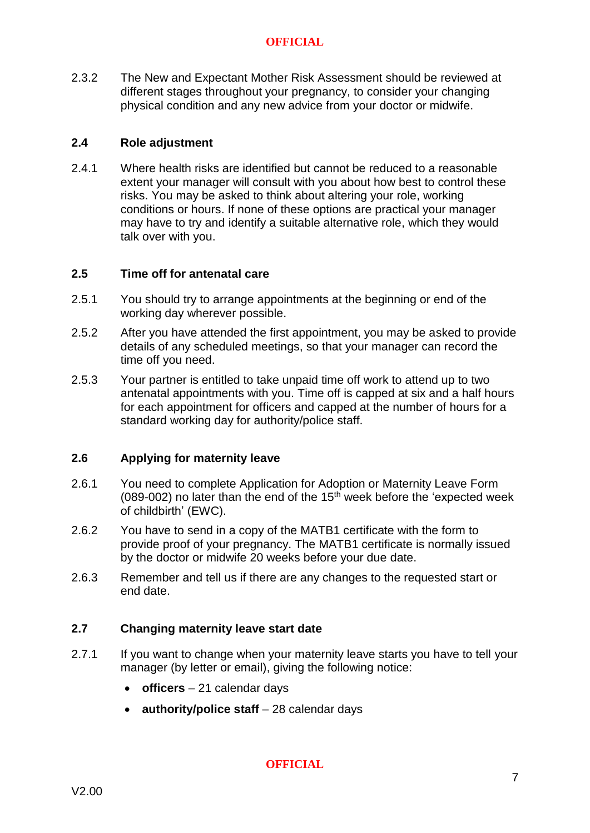2.3.2 The New and Expectant Mother Risk Assessment should be reviewed at different stages throughout your pregnancy, to consider your changing physical condition and any new advice from your doctor or midwife.

#### **2.4 Role adjustment**

2.4.1 Where health risks are identified but cannot be reduced to a reasonable extent your manager will consult with you about how best to control these risks. You may be asked to think about altering your role, working conditions or hours. If none of these options are practical your manager may have to try and identify a suitable alternative role, which they would talk over with you.

#### **2.5 Time off for antenatal care**

- 2.5.1 You should try to arrange appointments at the beginning or end of the working day wherever possible.
- 2.5.2 After you have attended the first appointment, you may be asked to provide details of any scheduled meetings, so that your manager can record the time off you need.
- 2.5.3 Your partner is entitled to take unpaid time off work to attend up to two antenatal appointments with you. Time off is capped at six and a half hours for each appointment for officers and capped at the number of hours for a standard working day for authority/police staff.

#### **2.6 Applying for maternity leave**

- 2.6.1 You need to complete Application for Adoption or Maternity Leave Form (089-002) no later than the end of the 15<sup>th</sup> week before the 'expected week of childbirth' (EWC).
- 2.6.2 You have to send in a copy of the MATB1 certificate with the form to provide proof of your pregnancy. The MATB1 certificate is normally issued by the doctor or midwife 20 weeks before your due date.
- 2.6.3 Remember and tell us if there are any changes to the requested start or end date.

#### **2.7 Changing maternity leave start date**

- 2.7.1 If you want to change when your maternity leave starts you have to tell your manager (by letter or email), giving the following notice:
	- **officers** 21 calendar days
	- **authority/police staff** 28 calendar days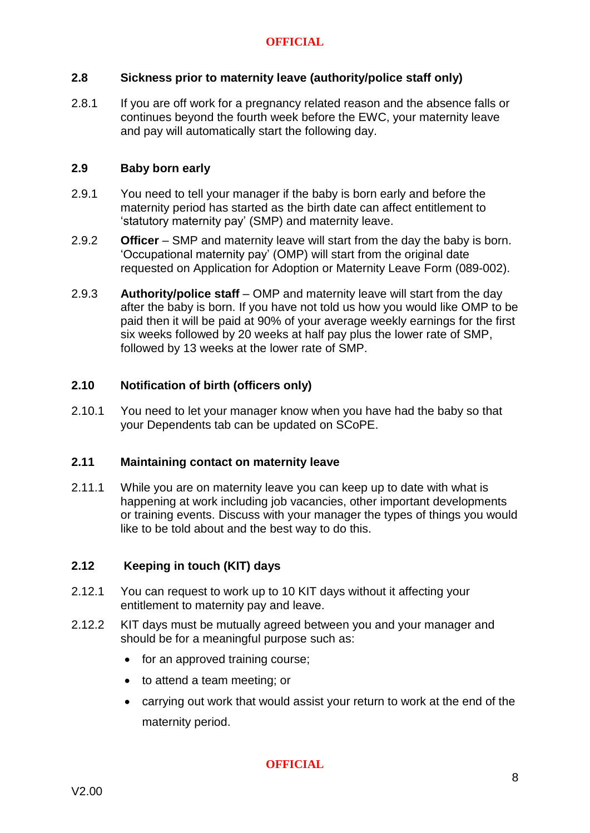#### **2.8 Sickness prior to maternity leave (authority/police staff only)**

2.8.1 If you are off work for a pregnancy related reason and the absence falls or continues beyond the fourth week before the EWC, your maternity leave and pay will automatically start the following day.

#### **2.9 Baby born early**

- 2.9.1 You need to tell your manager if the baby is born early and before the maternity period has started as the birth date can affect entitlement to 'statutory maternity pay' (SMP) and maternity leave.
- 2.9.2 **Officer** SMP and maternity leave will start from the day the baby is born. 'Occupational maternity pay' (OMP) will start from the original date requested on Application for Adoption or Maternity Leave Form (089-002).
- 2.9.3 **Authority/police staff** OMP and maternity leave will start from the day after the baby is born. If you have not told us how you would like OMP to be paid then it will be paid at 90% of your average weekly earnings for the first six weeks followed by 20 weeks at half pay plus the lower rate of SMP, followed by 13 weeks at the lower rate of SMP.

#### **2.10 Notification of birth (officers only)**

2.10.1 You need to let your manager know when you have had the baby so that your Dependents tab can be updated on SCoPE.

#### **2.11 Maintaining contact on maternity leave**

2.11.1 While you are on maternity leave you can keep up to date with what is happening at work including job vacancies, other important developments or training events. Discuss with your manager the types of things you would like to be told about and the best way to do this.

#### **2.12 Keeping in touch (KIT) days**

- 2.12.1 You can request to work up to 10 KIT days without it affecting your entitlement to maternity pay and leave.
- 2.12.2 KIT days must be mutually agreed between you and your manager and should be for a meaningful purpose such as:
	- for an approved training course;
	- to attend a team meeting; or
	- carrying out work that would assist your return to work at the end of the maternity period.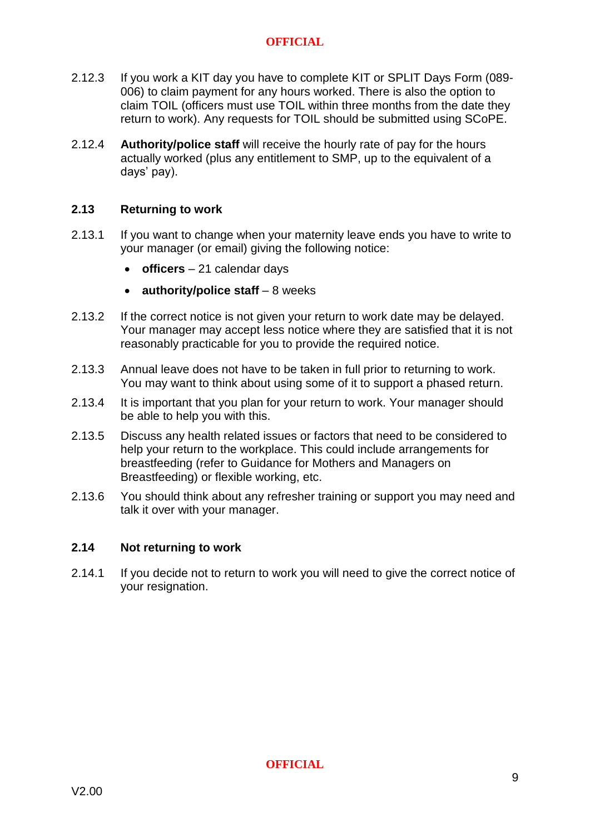- 2.12.3 If you work a KIT day you have to complete KIT or SPLIT Days Form [\(089-](https://spi.spnet.local/policescotland/guidance/Force%20Forms/Forms/PS-Number.aspx?Paged=TRUE&p_GroupCol1=8_All%20Police%20Scotland%20Forms%20Beginning%20With%20Reference%20%27045%27&RootFolder=%2fpolicescotland%2fguidance%2fForce%20Forms%2fPolice%2dScotland&PageFirstRow=31&&View=%7b7D5061C2-19F5-4B91-B178-C5FBD8CA7E42%7d) [006\)](https://spi.spnet.local/policescotland/guidance/Force%20Forms/Forms/PS-Number.aspx?Paged=TRUE&p_GroupCol1=8_All%20Police%20Scotland%20Forms%20Beginning%20With%20Reference%20%27045%27&RootFolder=%2fpolicescotland%2fguidance%2fForce%20Forms%2fPolice%2dScotland&PageFirstRow=31&&View=%7b7D5061C2-19F5-4B91-B178-C5FBD8CA7E42%7d) to claim payment for any hours worked. There is also the option to claim TOIL (officers must use TOIL within three months from the date they return to work). Any requests for TOIL should be submitted using SCoPE.
- 2.12.4 **Authority/police staff** will receive the hourly rate of pay for the hours actually worked (plus any entitlement to SMP, up to the equivalent of a days' pay).

#### **2.13 Returning to work**

- 2.13.1 If you want to change when your maternity leave ends you have to write to your manager (or email) giving the following notice:
	- **officers** 21 calendar days
	- **authority/police staff** 8 weeks
- 2.13.2 If the correct notice is not given your return to work date may be delayed. Your manager may accept less notice where they are satisfied that it is not reasonably practicable for you to provide the required notice.
- 2.13.3 Annual leave does not have to be taken in full prior to returning to work. You may want to think about using some of it to support a phased return.
- 2.13.4 It is important that you plan for your return to work. Your manager should be able to help you with this.
- 2.13.5 Discuss any health related issues or factors that need to be considered to help your return to the workplace. This could include arrangements for breastfeeding (refer to Guidance for Mothers and Managers on Breastfeeding) or flexible working, etc.
- 2.13.6 You should think about any refresher training or support you may need and talk it over with your manager.

#### **2.14 Not returning to work**

2.14.1 If you decide not to return to work you will need to give the correct notice of your resignation.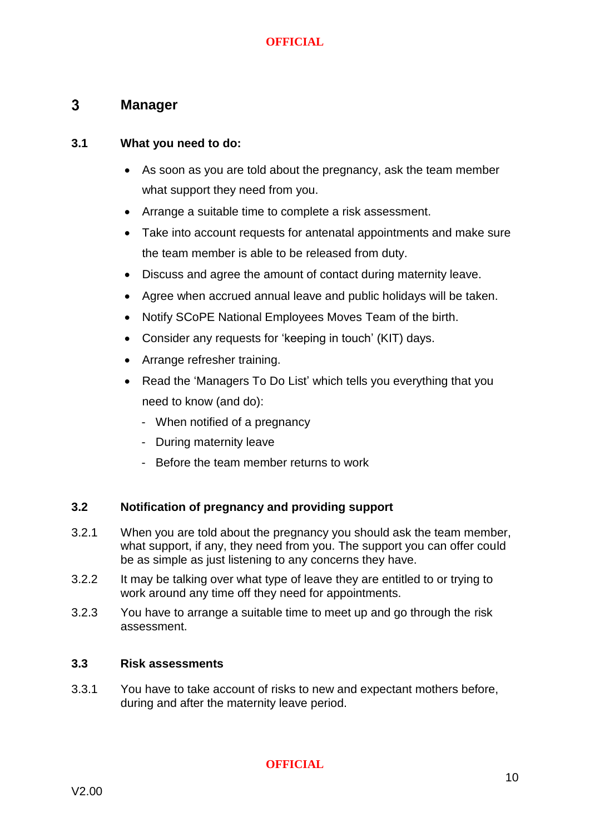#### <span id="page-10-0"></span> $3<sup>1</sup>$ **Manager**

#### **3.1 What you need to do:**

- As soon as you are told about the pregnancy, ask the team member what support they need from you.
- Arrange a suitable time to complete a risk assessment.
- Take into account requests for antenatal appointments and make sure the team member is able to be released from duty.
- Discuss and agree the amount of contact during maternity leave.
- Agree when accrued annual leave and public holidays will be taken.
- Notify SCoPE National Employees Moves Team of the birth.
- Consider any requests for 'keeping in touch' (KIT) days.
- Arrange refresher training.
- Read the 'Managers To Do List' which tells you everything that you need to know (and do):
	- When notified of a pregnancy
	- During maternity leave
	- Before the team member returns to work

#### **3.2 Notification of pregnancy and providing support**

- 3.2.1 When you are told about the pregnancy you should ask the team member, what support, if any, they need from you. The support you can offer could be as simple as just listening to any concerns they have.
- 3.2.2 It may be talking over what type of leave they are entitled to or trying to work around any time off they need for appointments.
- 3.2.3 You have to arrange a suitable time to meet up and go through the risk assessment.

#### **3.3 Risk assessments**

3.3.1 You have to take account of risks to new and expectant mothers before, during and after the maternity leave period.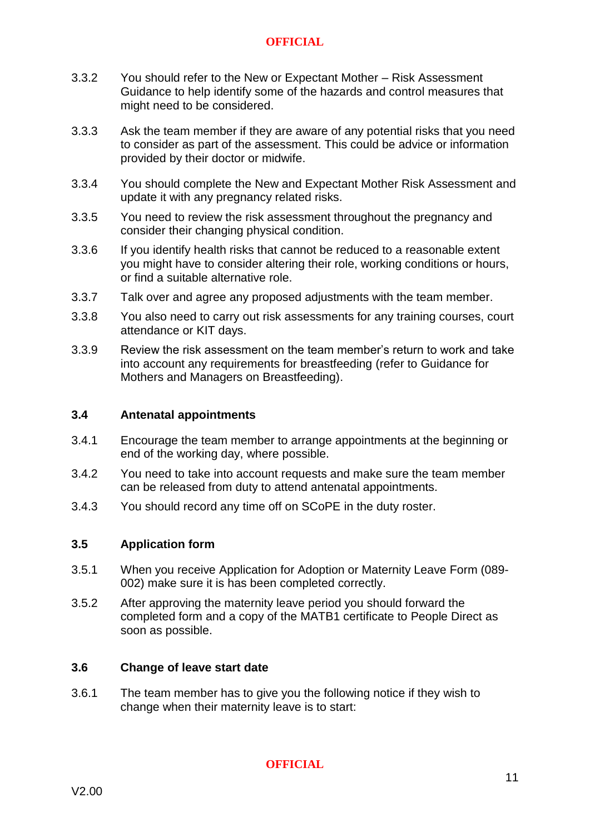- 3.3.2 You should refer to the New or Expectant Mother Risk Assessment Guidance to help identify some of the hazards and control measures that might need to be considered.
- 3.3.3 Ask the team member if they are aware of any potential risks that you need to consider as part of the assessment. This could be advice or information provided by their doctor or midwife.
- 3.3.4 You should complete the New and Expectant Mother Risk Assessment and update it with any pregnancy related risks.
- 3.3.5 You need to review the risk assessment throughout the pregnancy and consider their changing physical condition.
- 3.3.6 If you identify health risks that cannot be reduced to a reasonable extent you might have to consider altering their role, working conditions or hours, or find a suitable alternative role.
- 3.3.7 Talk over and agree any proposed adjustments with the team member.
- 3.3.8 You also need to carry out risk assessments for any training courses, court attendance or KIT days.
- 3.3.9 Review the risk assessment on the team member's return to work and take into account any requirements for breastfeeding (refer to Guidance for Mothers and Managers on Breastfeeding).

#### **3.4 Antenatal appointments**

- 3.4.1 Encourage the team member to arrange appointments at the beginning or end of the working day, where possible.
- 3.4.2 You need to take into account requests and make sure the team member can be released from duty to attend antenatal appointments.
- 3.4.3 You should record any time off on SCoPE in the duty roster.

#### **3.5 Application form**

- 3.5.1 When you receive Application for Adoption or Maternity Leave Form (089- 002) make sure it is has been completed correctly.
- 3.5.2 After approving the maternity leave period you should forward the completed form and a copy of the MATB1 certificate to People Direct as soon as possible.

#### **3.6 Change of leave start date**

3.6.1 The team member has to give you the following notice if they wish to change when their maternity leave is to start: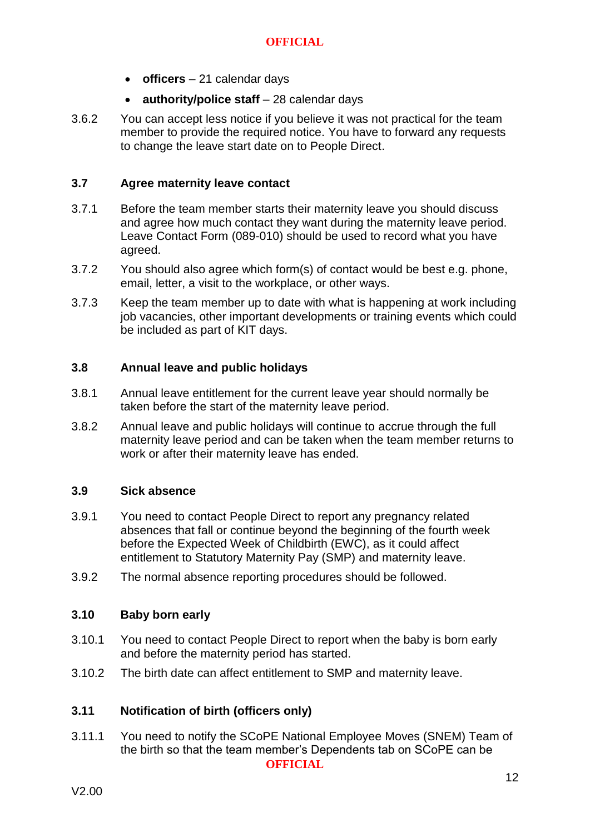- **officers** 21 calendar days
- **authority/police staff** 28 calendar days
- 3.6.2 You can accept less notice if you believe it was not practical for the team member to provide the required notice. You have to forward any requests to change the leave start date on to People Direct.

#### **3.7 Agree maternity leave contact**

- 3.7.1 Before the team member starts their maternity leave you should discuss and agree how much contact they want during the maternity leave period. Leave Contact Form (089-010) should be used to record what you have agreed.
- 3.7.2 You should also agree which form(s) of contact would be best e.g. phone, email, letter, a visit to the workplace, or other ways.
- 3.7.3 Keep the team member up to date with what is happening at work including job vacancies, other important developments or training events which could be included as part of KIT days.

#### **3.8 Annual leave and public holidays**

- 3.8.1 Annual leave entitlement for the current leave year should normally be taken before the start of the maternity leave period.
- 3.8.2 Annual leave and public holidays will continue to accrue through the full maternity leave period and can be taken when the team member returns to work or after their maternity leave has ended.

#### **3.9 Sick absence**

- 3.9.1 You need to contact People Direct to report any pregnancy related absences that fall or continue beyond the beginning of the fourth week before the Expected Week of Childbirth (EWC), as it could affect entitlement to Statutory Maternity Pay (SMP) and maternity leave.
- 3.9.2 The normal absence reporting procedures should be followed.

#### **3.10 Baby born early**

- 3.10.1 You need to contact People Direct to report when the baby is born early and before the maternity period has started.
- 3.10.2 The birth date can affect entitlement to SMP and maternity leave.

#### **3.11 Notification of birth (officers only)**

**OFFICIAL** 3.11.1 You need to notify the SCoPE National Employee Moves (SNEM) Team of the birth so that the team member's Dependents tab on SCoPE can be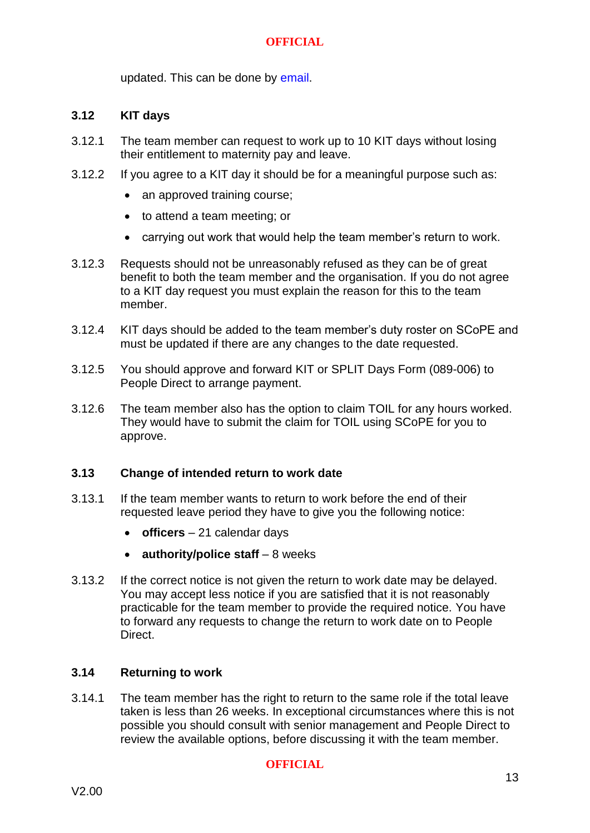updated. This can be done by [email.](mailto:SCoPENationalEmployeeMoves@scotland.pnn.police.uk)

#### **3.12 KIT days**

- 3.12.1 The team member can request to work up to 10 KIT days without losing their entitlement to maternity pay and leave.
- 3.12.2 If you agree to a KIT day it should be for a meaningful purpose such as:
	- an approved training course;
	- to attend a team meeting; or
	- carrying out work that would help the team member's return to work.
- 3.12.3 Requests should not be unreasonably refused as they can be of great benefit to both the team member and the organisation. If you do not agree to a KIT day request you must explain the reason for this to the team member.
- 3.12.4 KIT days should be added to the team member's duty roster on SCoPE and must be updated if there are any changes to the date requested.
- 3.12.5 You should approve and forward KIT or SPLIT Days Form [\(089-006\)](https://spi.spnet.local/policescotland/guidance/Force%20Forms/Forms/PS-Number.aspx?Paged=TRUE&p_GroupCol1=8_All%20Police%20Scotland%20Forms%20Beginning%20With%20Reference%20%27045%27&RootFolder=%2fpolicescotland%2fguidance%2fForce%20Forms%2fPolice%2dScotland&PageFirstRow=31&&View=%7b7D5061C2-19F5-4B91-B178-C5FBD8CA7E42%7d) to [People Direct](https://spi.spnet.local/policescotland/applications/Pages/People-Direct.aspx?refer=QuickLogo) to arrange payment.
- 3.12.6 The team member also has the option to claim TOIL for any hours worked. They would have to submit the claim for TOIL using SCoPE for you to approve.

#### **3.13 Change of intended return to work date**

- 3.13.1 If the team member wants to return to work before the end of their requested leave period they have to give you the following notice:
	- **officers** 21 calendar days
	- **authority/police staff** 8 weeks
- 3.13.2 If the correct notice is not given the return to work date may be delayed. You may accept less notice if you are satisfied that it is not reasonably practicable for the team member to provide the required notice. You have to forward any requests to change the return to work date on to People Direct.

#### **3.14 Returning to work**

3.14.1 The team member has the right to return to the same role if the total leave taken is less than 26 weeks. In exceptional circumstances where this is not possible you should consult with senior management and [People Direct](https://spi.spnet.local/policescotland/applications/Pages/People-Direct.aspx?refer=QuickLogo) to review the available options, before discussing it with the team member.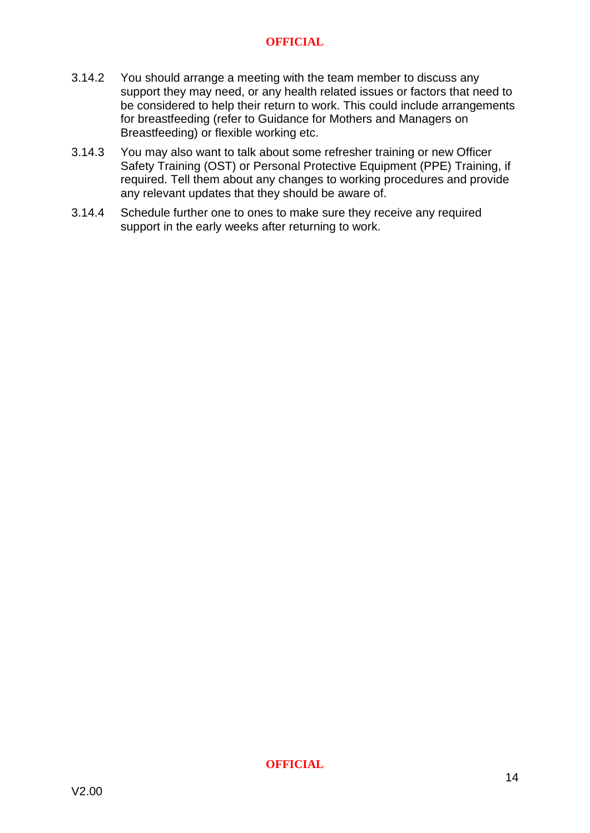- 3.14.2 You should arrange a meeting with the team member to discuss any support they may need, or any health related issues or factors that need to be considered to help their return to work. This could include arrangements for breastfeeding (refer to Guidance for Mothers and Managers on Breastfeeding) or flexible working etc.
- 3.14.3 You may also want to talk about some refresher training or new Officer Safety Training (OST) or Personal Protective Equipment (PPE) Training, if required. Tell them about any changes to working procedures and provide any relevant updates that they should be aware of.
- 3.14.4 Schedule further one to ones to make sure they receive any required support in the early weeks after returning to work.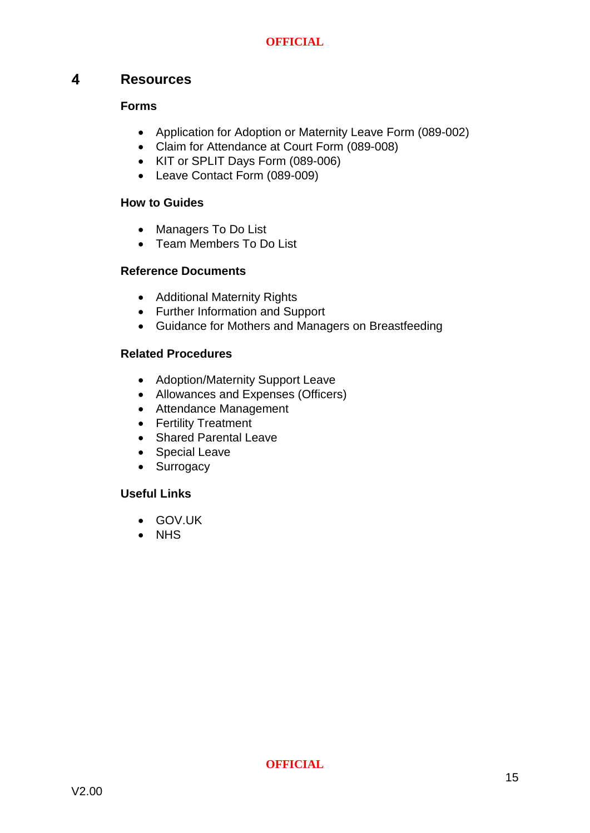#### <span id="page-15-0"></span> $\overline{\mathbf{A}}$ **Resources**

#### **Forms**

- Application for Adoption or Maternity Leave Form [\(089-002\)](https://spi.spnet.local/policescotland/guidance/_layouts/DocIdRedir.aspx?ID=PSOS-255-17917)
- Claim for Attendance at Court Form [\(089-008\)](https://spi.spnet.local/policescotland/guidance/_layouts/DocIdRedir.aspx?ID=PSOS-255-17933)
- KIT or SPLIT Days Form [\(089-006\)](https://spi.spnet.local/policescotland/guidance/Force%20Forms/Forms/PS-Number.aspx?Paged=TRUE&p_GroupCol1=8_All%20Police%20Scotland%20Forms%20Beginning%20With%20Reference%20%27045%27&RootFolder=%2fpolicescotland%2fguidance%2fForce%20Forms%2fPolice%2dScotland&PageFirstRow=31&&View=%7b7D5061C2-19F5-4B91-B178-C5FBD8CA7E42%7d)
- Leave Contact Form (089-009)

#### **How to Guides**

- Managers To Do List
- Team Members To Do List

#### **Reference Documents**

- Additional Maternity Rights
- Further Information and Support
- Guidance for Mothers and Managers on Breastfeeding

#### **Related Procedures**

- Adoption/Maternity Support Leave
- Allowances and Expenses (Officers)
- Attendance Management
- Fertility Treatment
- Shared Parental Leave
- Special Leave
- Surrogacy

#### **Useful Links**

- GOV.UK
- NHS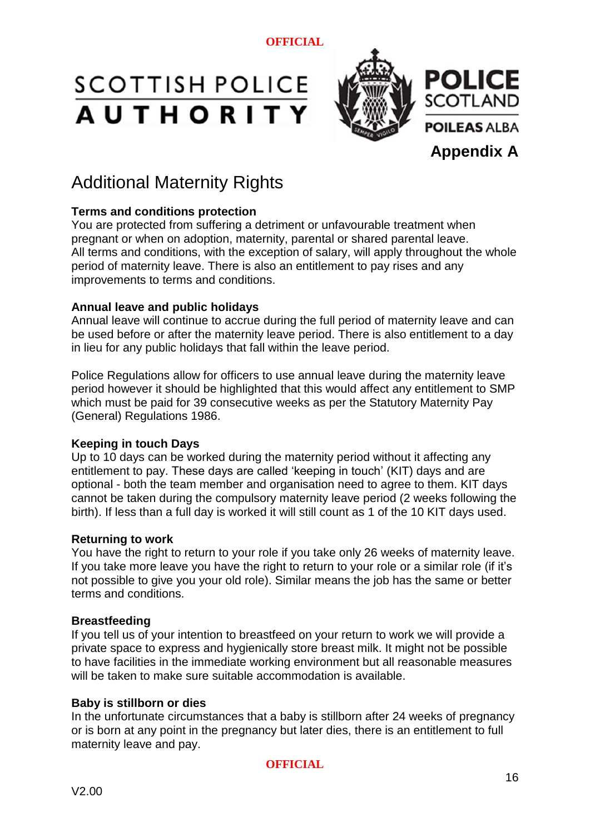# **SCOTTISH POLICE AUTHORITY**



# Additional Maternity Rights

#### **Terms and conditions protection**

You are protected from suffering a detriment or unfavourable treatment when pregnant or when on adoption, maternity, parental or shared parental leave. All terms and conditions, with the exception of salary, will apply throughout the whole period of maternity leave. There is also an entitlement to pay rises and any improvements to terms and conditions.

#### **Annual leave and public holidays**

Annual leave will continue to accrue during the full period of maternity leave and can be used before or after the maternity leave period. There is also entitlement to a day in lieu for any public holidays that fall within the leave period.

Police Regulations allow for officers to use annual leave during the maternity leave period however it should be highlighted that this would affect any entitlement to SMP which must be paid for 39 consecutive weeks as per the Statutory Maternity Pay (General) Regulations 1986.

#### **Keeping in touch Days**

Up to 10 days can be worked during the maternity period without it affecting any entitlement to pay. These days are called 'keeping in touch' (KIT) days and are optional - both the team member and organisation need to agree to them. KIT days cannot be taken during the compulsory maternity leave period (2 weeks following the birth). If less than a full day is worked it will still count as 1 of the 10 KIT days used.

#### **Returning to work**

You have the right to return to your role if you take only 26 weeks of maternity leave. If you take more leave you have the right to return to your role or a similar role (if it's not possible to give you your old role). Similar means the job has the same or better terms and conditions.

#### **Breastfeeding**

If you tell us of your intention to breastfeed on your return to work we will provide a private space to express and hygienically store breast milk. It might not be possible to have facilities in the immediate working environment but all reasonable measures will be taken to make sure suitable accommodation is available.

#### **Baby is stillborn or dies**

In the unfortunate circumstances that a baby is stillborn after 24 weeks of pregnancy or is born at any point in the pregnancy but later dies, there is an entitlement to full maternity leave and pay.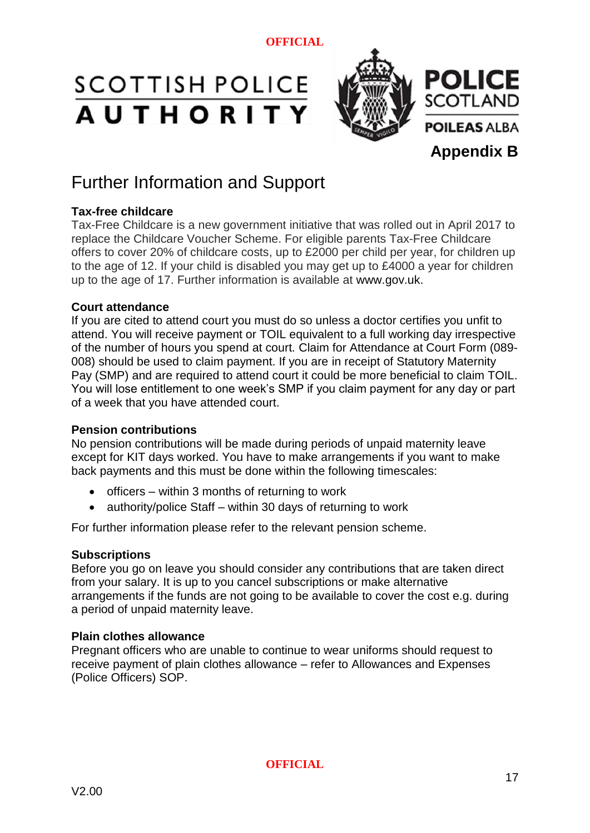# **SCOTTISH POLICE AUTHORITY**



## Further Information and Support

#### **Tax-free childcare**

Tax-Free Childcare is a new government initiative that was rolled out in April 2017 to replace the Childcare Voucher Scheme. For eligible parents Tax-Free Childcare offers to cover 20% of childcare costs, up to £2000 per child per year, for children up to the age of 12. If your child is disabled you may get up to £4000 a year for children up to the age of 17. Further information is available at www.gov.uk.

#### **Court attendance**

If you are cited to attend court you must do so unless a doctor certifies you unfit to attend. You will receive payment or TOIL equivalent to a full working day irrespective of the number of hours you spend at court. Claim for Attendance at Court Form [\(089-](https://spi.spnet.local/policescotland/guidance/_layouts/DocIdRedir.aspx?ID=PSOS-255-17933) [008\)](https://spi.spnet.local/policescotland/guidance/_layouts/DocIdRedir.aspx?ID=PSOS-255-17933) should be used to claim payment. If you are in receipt of Statutory Maternity Pay (SMP) and are required to attend court it could be more beneficial to claim TOIL. You will lose entitlement to one week's SMP if you claim payment for any day or part of a week that you have attended court.

#### **Pension contributions**

No pension contributions will be made during periods of unpaid maternity leave except for KIT days worked. You have to make arrangements if you want to make back payments and this must be done within the following timescales:

- $\bullet$  officers within 3 months of returning to work
- authority/police Staff within 30 days of returning to work

For further information please refer to the relevant pension scheme.

#### **Subscriptions**

Before you go on leave you should consider any contributions that are taken direct from your salary. It is up to you cancel subscriptions or make alternative arrangements if the funds are not going to be available to cover the cost e.g. during a period of unpaid maternity leave.

#### **Plain clothes allowance**

Pregnant officers who are unable to continue to wear uniforms should request to receive payment of plain clothes allowance – refer to Allowances and Expenses (Police Officers) SOP.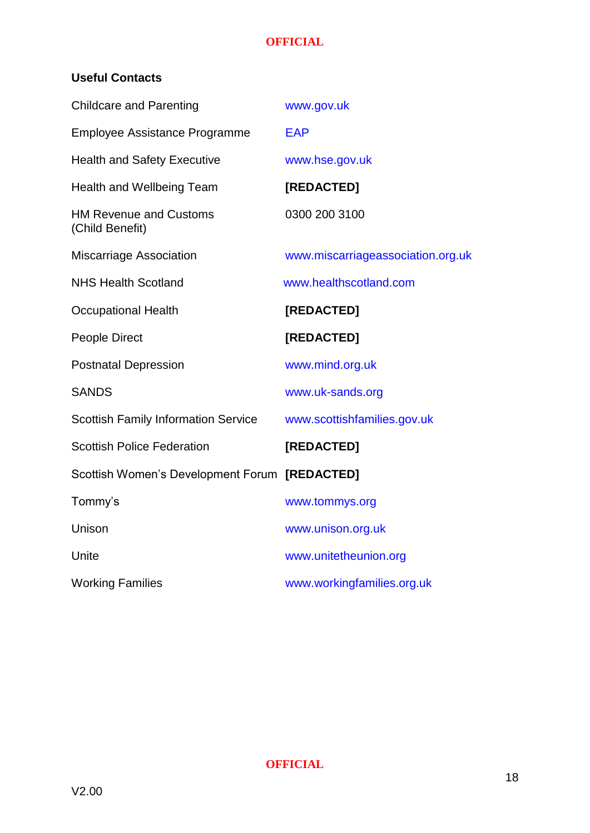#### **Useful Contacts**

| <b>Childcare and Parenting</b>                   | www.gov.uk                        |
|--------------------------------------------------|-----------------------------------|
| <b>Employee Assistance Programme</b>             | <b>EAP</b>                        |
| <b>Health and Safety Executive</b>               | www.hse.gov.uk                    |
| Health and Wellbeing Team                        | [REDACTED]                        |
| <b>HM Revenue and Customs</b><br>(Child Benefit) | 0300 200 3100                     |
| <b>Miscarriage Association</b>                   | www.miscarriageassociation.org.uk |
| <b>NHS Health Scotland</b>                       | www.healthscotland.com            |
| <b>Occupational Health</b>                       | [REDACTED]                        |
| People Direct                                    | [REDACTED]                        |
| <b>Postnatal Depression</b>                      | www.mind.org.uk                   |
| <b>SANDS</b>                                     | www.uk-sands.org                  |
| <b>Scottish Family Information Service</b>       | www.scottishfamilies.gov.uk       |
| <b>Scottish Police Federation</b>                | [REDACTED]                        |
| Scottish Women's Development Forum [REDACTED]    |                                   |
| Tommy's                                          | www.tommys.org                    |
| Unison                                           | www.unison.org.uk                 |
| Unite                                            | www.unitetheunion.org             |
| <b>Working Families</b>                          | www.workingfamilies.org.uk        |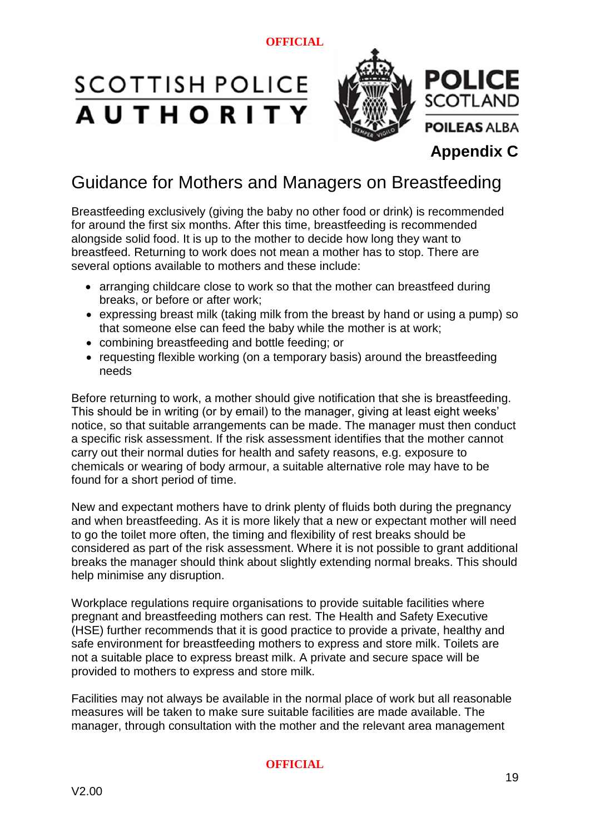# **SCOTTISH POLICE AUTHORITY**



**Appendix C**

## Guidance for Mothers and Managers on Breastfeeding

Breastfeeding exclusively (giving the baby no other food or drink) is recommended for around the first six months. After this time, breastfeeding is recommended alongside solid food. It is up to the mother to decide how long they want to breastfeed. Returning to work does not mean a mother has to stop. There are several options available to mothers and these include:

- arranging childcare close to work so that the mother can breastfeed during breaks, or before or after work;
- expressing breast milk (taking milk from the breast by hand or using a pump) so that someone else can feed the baby while the mother is at work;
- combining breastfeeding and bottle feeding; or
- requesting flexible working (on a temporary basis) around the breastfeeding needs

Before returning to work, a mother should give notification that she is breastfeeding. This should be in writing (or by email) to the manager, giving at least eight weeks' notice, so that suitable arrangements can be made. The manager must then conduct a specific risk assessment. If the risk assessment identifies that the mother cannot carry out their normal duties for health and safety reasons, e.g. exposure to chemicals or wearing of body armour, a suitable alternative role may have to be found for a short period of time.

New and expectant mothers have to drink plenty of fluids both during the pregnancy and when breastfeeding. As it is more likely that a new or expectant mother will need to go the toilet more often, the timing and flexibility of rest breaks should be considered as part of the risk assessment. Where it is not possible to grant additional breaks the manager should think about slightly extending normal breaks. This should help minimise any disruption.

Workplace regulations require organisations to provide suitable facilities where pregnant and breastfeeding mothers can rest. The Health and Safety Executive (HSE) further recommends that it is good practice to provide a private, healthy and safe environment for breastfeeding mothers to express and store milk. Toilets are not a suitable place to express breast milk. A private and secure space will be provided to mothers to express and store milk.

Facilities may not always be available in the normal place of work but all reasonable measures will be taken to make sure suitable facilities are made available. The manager, through consultation with the mother and the relevant area management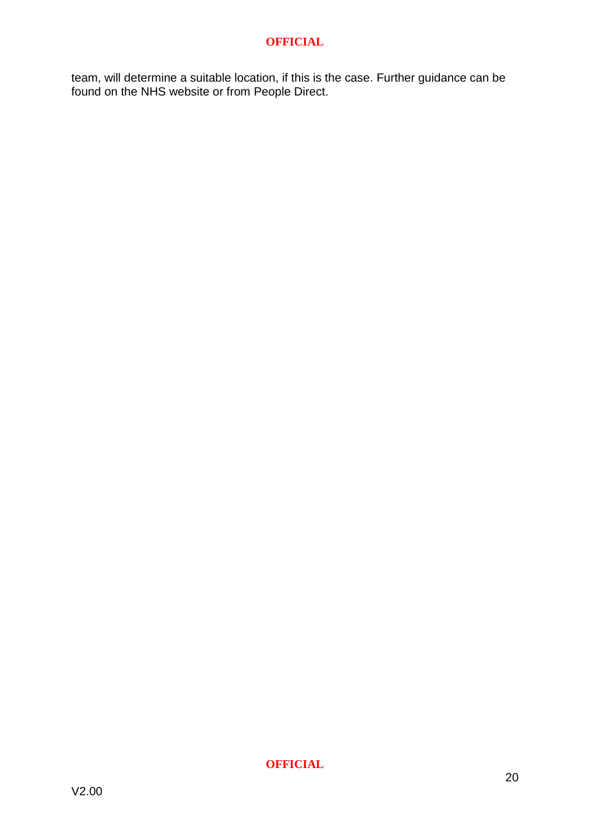team, will determine a suitable location, if this is the case. Further guidance can be found on the NHS website or from People Direct.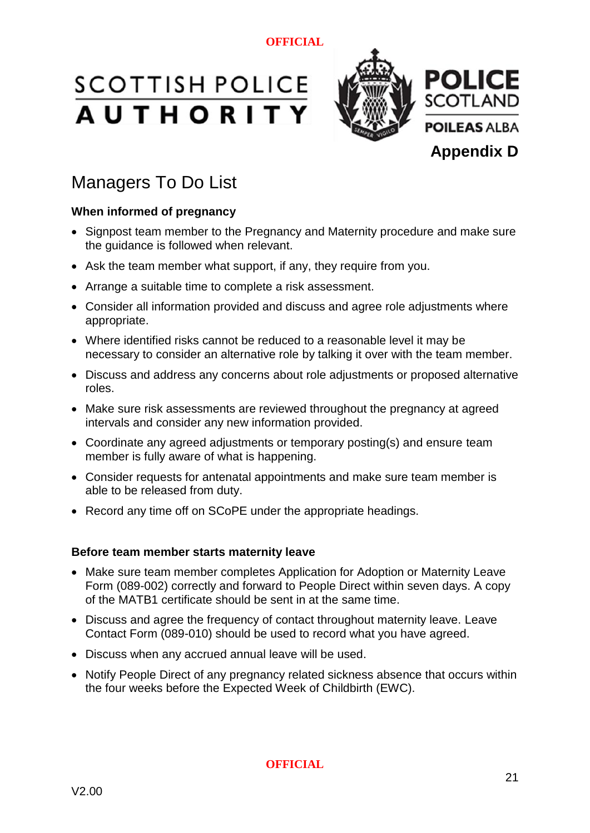



## Managers To Do List

#### **When informed of pregnancy**

- Signpost team member to the Pregnancy and Maternity procedure and make sure the guidance is followed when relevant.
- Ask the team member what support, if any, they require from you.
- Arrange a suitable time to complete a risk assessment.
- Consider all information provided and discuss and agree role adjustments where appropriate.
- Where identified risks cannot be reduced to a reasonable level it may be necessary to consider an alternative role by talking it over with the team member.
- Discuss and address any concerns about role adjustments or proposed alternative roles.
- Make sure risk assessments are reviewed throughout the pregnancy at agreed intervals and consider any new information provided.
- Coordinate any agreed adjustments or temporary posting(s) and ensure team member is fully aware of what is happening.
- Consider requests for antenatal appointments and make sure team member is able to be released from duty.
- Record any time off on SCoPE under the appropriate headings.

#### **Before team member starts maternity leave**

- Make sure team member completes Application for Adoption or Maternity Leave Form [\(089-002\)](https://spi.spnet.local/policescotland/guidance/_layouts/DocIdRedir.aspx?ID=PSOS-255-17917) correctly and forward to People Direct within seven days. A copy of the MATB1 certificate should be sent in at the same time.
- Discuss and agree the frequency of contact throughout maternity leave. Leave Contact Form (089-010) should be used to record what you have agreed.
- Discuss when any accrued annual leave will be used.
- Notify People Direct of any pregnancy related sickness absence that occurs within the four weeks before the Expected Week of Childbirth (EWC).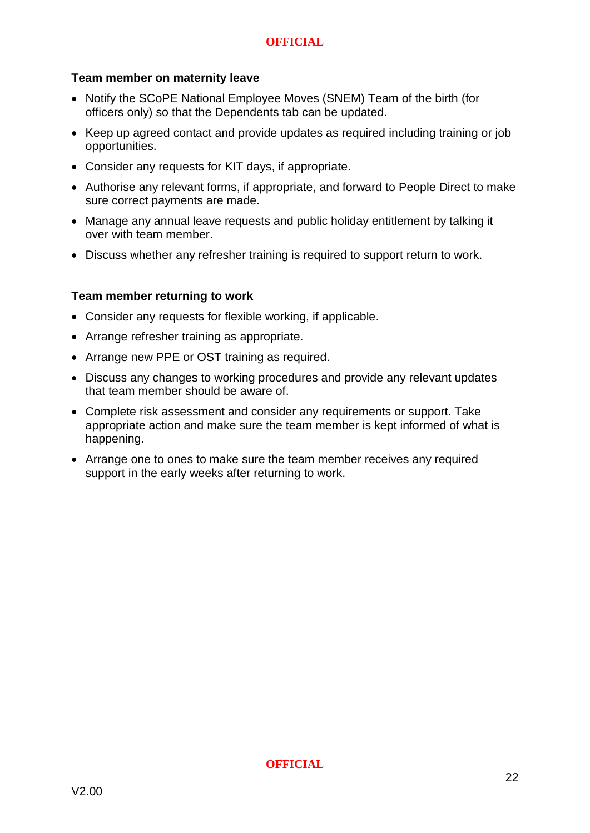#### **Team member on maternity leave**

- Notify the SCoPE National Employee Moves (SNEM) Team of the birth (for officers only) so that the Dependents tab can be updated.
- Keep up agreed contact and provide updates as required including training or job opportunities.
- Consider any requests for KIT days, if appropriate.
- Authorise any relevant forms, if appropriate, and forward to People Direct to make sure correct payments are made.
- Manage any annual leave requests and public holiday entitlement by talking it over with team member.
- Discuss whether any refresher training is required to support return to work.

#### **Team member returning to work**

- Consider any requests for flexible working, if applicable.
- Arrange refresher training as appropriate.
- Arrange new PPE or OST training as required.
- Discuss any changes to working procedures and provide any relevant updates that team member should be aware of.
- Complete risk assessment and consider any requirements or support. Take appropriate action and make sure the team member is kept informed of what is happening.
- Arrange one to ones to make sure the team member receives any required support in the early weeks after returning to work.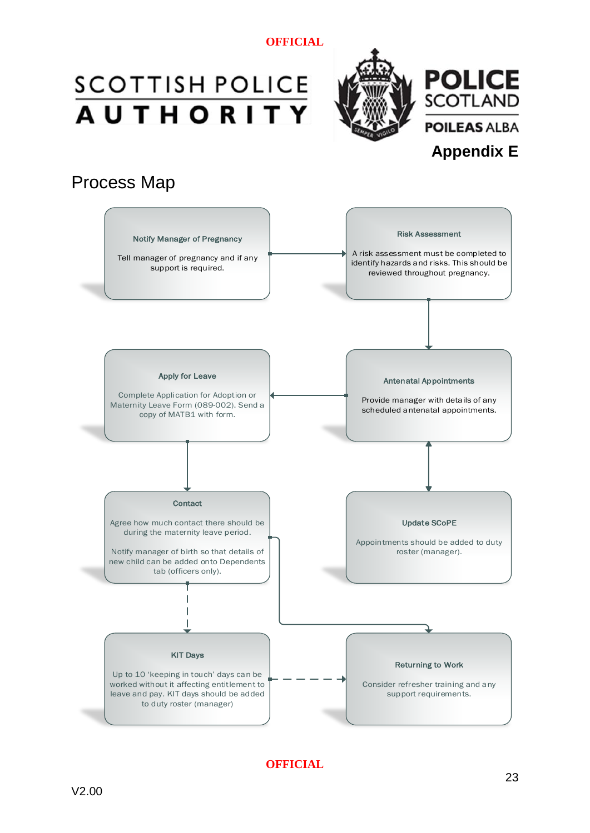# **SCOTTISH POLICE AUTHORITY**



## Process Map

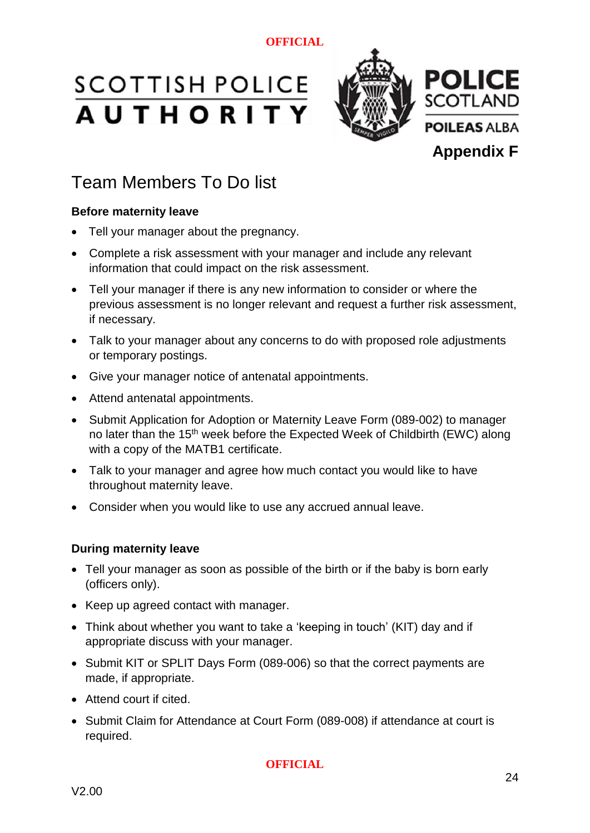# **SCOTTISH POLICE AUTHORITY**



# Team Members To Do list

### **Before maternity leave**

- Tell your manager about the pregnancy.
- Complete a risk assessment with your manager and include any relevant information that could impact on the risk assessment.
- Tell your manager if there is any new information to consider or where the previous assessment is no longer relevant and request a further risk assessment, if necessary.
- Talk to your manager about any concerns to do with proposed role adjustments or temporary postings.
- Give your manager notice of antenatal appointments.
- Attend antenatal appointments.
- Submit Application for Adoption or Maternity Leave Form (089-002) to manager no later than the 15<sup>th</sup> week before the Expected Week of Childbirth (EWC) along with a copy of the MATB1 certificate.
- Talk to your manager and agree how much contact you would like to have throughout maternity leave.
- Consider when you would like to use any accrued annual leave.

#### **During maternity leave**

- Tell your manager as soon as possible of the birth or if the baby is born early (officers only).
- Keep up agreed contact with manager.
- Think about whether you want to take a 'keeping in touch' (KIT) day and if appropriate discuss with your manager.
- Submit KIT or SPLIT Days Form (089-006) so that the correct payments are made, if appropriate.
- Attend court if cited.
- Submit Claim for Attendance at Court Form [\(089-008\)](https://spi.spnet.local/policescotland/guidance/_layouts/DocIdRedir.aspx?ID=PSOS-255-17933) if attendance at court is required.